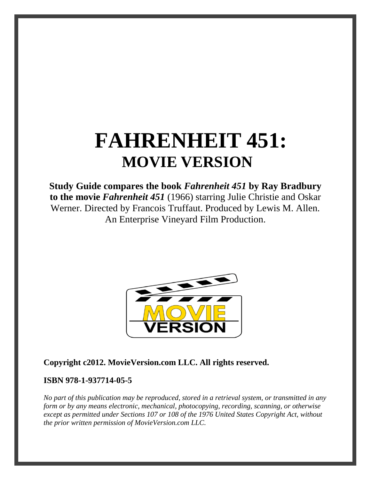# **FAHRENHEIT 451: MOVIE VERSION**

**Study Guide compares the book** *Fahrenheit 451* **by Ray Bradbury to the movie** *Fahrenheit 451* (1966) starring Julie Christie and Oskar Werner. Directed by Francois Truffaut. Produced by Lewis M. Allen. An Enterprise Vineyard Film Production.



**Copyright c2012. MovieVersion.com LLC. All rights reserved.** 

## **ISBN 978-1-937714-05-5**

*No part of this publication may be reproduced, stored in a retrieval system, or transmitted in any form or by any means electronic, mechanical, photocopying, recording, scanning, or otherwise except as permitted under Sections 107 or 108 of the 1976 United States Copyright Act, without the prior written permission of MovieVersion.com LLC.*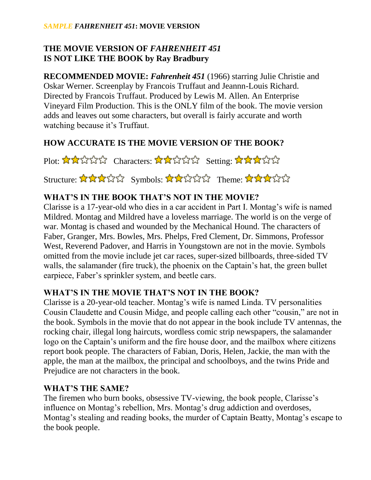#### *SAMPLE FAHRENHEIT 451***: MOVIE VERSION**

# **THE MOVIE VERSION OF** *FAHRENHEIT 451* **IS NOT LIKE THE BOOK by Ray Bradbury**

**RECOMMENDED MOVIE:** *Fahrenheit 451* (1966) starring Julie Christie and Oskar Werner. Screenplay by Francois Truffaut and Jeannn-Louis Richard. Directed by Francois Truffaut. Produced by Lewis M. Allen. An Enterprise Vineyard Film Production. This is the ONLY film of the book. The movie version adds and leaves out some characters, but overall is fairly accurate and worth watching because it's Truffaut.

# **HOW ACCURATE IS THE MOVIE VERSION OF THE BOOK?**

Plot: AAAAA Characters: AAAAA Setting: AAAAA

Structure: ☆☆☆☆☆ Symbols: ☆☆☆☆☆ Theme: ☆☆☆☆☆

# **WHAT'S IN THE BOOK THAT'S NOT IN THE MOVIE?**

Clarisse is a 17-year-old who dies in a car accident in Part I. Montag's wife is named Mildred. Montag and Mildred have a loveless marriage. The world is on the verge of war. Montag is chased and wounded by the Mechanical Hound. The characters of Faber, Granger, Mrs. Bowles, Mrs. Phelps, Fred Clement, Dr. Simmons, Professor West, Reverend Padover, and Harris in Youngstown are not in the movie. Symbols omitted from the movie include jet car races, super-sized billboards, three-sided TV walls, the salamander (fire truck), the phoenix on the Captain's hat, the green bullet earpiece, Faber's sprinkler system, and beetle cars.

# **WHAT'S IN THE MOVIE THAT'S NOT IN THE BOOK?**

Clarisse is a 20-year-old teacher. Montag's wife is named Linda. TV personalities Cousin Claudette and Cousin Midge, and people calling each other "cousin," are not in the book. Symbols in the movie that do not appear in the book include TV antennas, the rocking chair, illegal long haircuts, wordless comic strip newspapers, the salamander logo on the Captain's uniform and the fire house door, and the mailbox where citizens report book people. The characters of Fabian, Doris, Helen, Jackie, the man with the apple, the man at the mailbox, the principal and schoolboys, and the twins Pride and Prejudice are not characters in the book.

## **WHAT'S THE SAME?**

The firemen who burn books, obsessive TV-viewing, the book people, Clarisse's influence on Montag's rebellion, Mrs. Montag's drug addiction and overdoses, Montag's stealing and reading books, the murder of Captain Beatty, Montag's escape to the book people.